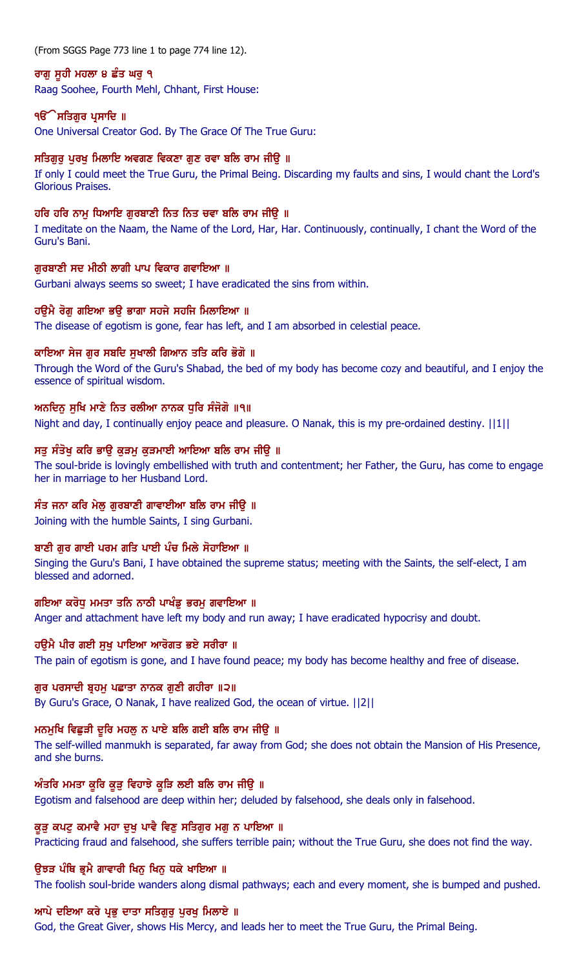(From SGGS Page 773 line 1 to page 774 line 12).

# ਰਾਗ ਸਹੀ ਮਹਲਾ ੪ ਛੰਤ ਘਰ ੧

Raag Soohee, Fourth Mehl, Chhant, First House:

# ੧**ੳੇਸਤਿਗੁਰ ਪ੍ਰਸਾਦਿ** ॥

One Universal Creator God. By The Grace Of The True Guru:

# ਸਤਿਗਰ ਪਰਖ ਮਿਲਾਇ ਅਵਗਣ ਵਿਕਣਾ ਗਣ ਰਵਾ ਬਲਿ ਰਾਮ ਜੀੳ ॥

If only I could meet the True Guru, the Primal Being. Discarding my faults and sins, I would chant the Lord's Glorious Praises.

# ਹਰਿ ਹਰਿ ਨਾਮੂ ਧਿਆਇ ਗੁਰਬਾਣੀ ਨਿਤ ਨਿਤ ਚਵਾ ਬਲਿ ਰਾਮ ਜੀਉ ॥

I meditate on the Naam, the Name of the Lord, Har, Har. Continuously, continually, I chant the Word of the Guru's Bani.

# ਗਰਬਾਣੀ ਸਦ ਮੀਠੀ ਲਾਗੀ ਪਾਪ ਵਿਕਾਰ ਗਵਾਇਆ ॥

Gurbani always seems so sweet; I have eradicated the sins from within.

# ਹਉਮੈ ਰੋਗੁ ਗਇਆ ਭਉ ਭਾਗਾ ਸਹਜੇ ਸਹਜਿ ਮਿਲਾਇਆ ॥

The disease of egotism is gone, fear has left, and I am absorbed in celestial peace.

# ਕਾਇਆ ਸੇਜ ਗੁਰ ਸਬਦਿ ਸੁਖਾਲੀ ਗਿਆਨ ਤਤਿ ਕਰਿ ਭੋਗੋ ॥

Through the Word of the Guru's Shabad, the bed of my body has become cozy and beautiful, and I enjoy the essence of spiritual wisdom.

# ਅਨਦਿਨ ਸੂਖਿ ਮਾਣੇ ਨਿਤ ਰਲੀਆ ਨਾਨਕ ਧੁਰਿ ਸੰਜੋਗੋ ॥੧॥

Night and day, I continually enjoy peace and pleasure. O Nanak, this is my pre-ordained destiny. ||1||

# ਸਤੂ ਸੰਤੋਖੂ ਕਰਿ ਭਾਉ ਕੁੜਮੂ ਕੁੜਮਾਈ ਆਇਆ ਬਲਿ ਰਾਮ ਜੀਉ ॥

The soul-bride is lovingly embellished with truth and contentment; her Father, the Guru, has come to engage her in marriage to her Husband Lord.

# ਸੰਤ ਜਨਾ ਕਰਿ ਮੇਲੂ ਗੁਰਬਾਣੀ ਗਾਵਾਈਆ ਬਲਿ ਰਾਮ ਜੀਉ ॥

Joining with the humble Saints, I sing Gurbani.

# ਬਾਣੀ ਗੁਰ ਗਾਈ ਪਰਮ ਗਤਿ ਪਾਈ ਪੰਚ ਮਿਲੇ ਸੋਹਾਇਆ ॥

Singing the Guru's Bani, I have obtained the supreme status; meeting with the Saints, the self-elect, I am blessed and adorned.

# ਗਇਆ ਕਰੋਧੂ ਮਮਤਾ ਤਨਿ ਨਾਠੀ ਪਾਖੰਡੂ ਭਰਮੂ ਗਵਾਇਆ ॥

Anger and attachment have left my body and run away; I have eradicated hypocrisy and doubt.

# ਹੳਮੈ ਪੀਰ ਗਈ ਸਖ ਪਾਇਆ ਆਰੋਗਤ ਭਏ ਸਰੀਰਾ ॥

The pain of egotism is gone, and I have found peace; my body has become healthy and free of disease.

# ਗਰ ਪਰਸਾਦੀ ਬੁਹਮ ਪਛਾਤਾ ਨਾਨਕ ਗਣੀ ਗਹੀਰਾ ॥੨॥

By Guru's Grace, O Nanak, I have realized God, the ocean of virtue. ||2||

# ਮਨਮੁਖਿ ਵਿਛੁੜੀ ਦੁਰਿ ਮਹਲੂ ਨ ਪਾਏ ਬਲਿ ਗਈ ਬਲਿ ਰਾਮ ਜੀਉ ॥

The self-willed manmukh is separated, far away from God; she does not obtain the Mansion of His Presence, and she burns.

# ਅੰਤਰਿ ਮਮਤਾ ਕੁਰਿ ਕੁੜੂ ਵਿਹਾਝੇ ਕੁੜਿ ਲਈ ਬਲਿ ਰਾਮ ਜੀਉ ॥

Egotism and falsehood are deep within her; deluded by falsehood, she deals only in falsehood.

# ਕੜ ਕਪਟ ਕਮਾਵੈ ਮਹਾ ਦਖ ਪਾਵੈ ਵਿਣ ਸਤਿਗਰ ਮਗ ਨ ਪਾਇਆ ॥

Practicing fraud and falsehood, she suffers terrible pain; without the True Guru, she does not find the way.

# ੳਝੜ ਪੰਥਿ ਭੂਮੈ ਗਾਵਾਰੀ ਖਿਨ ਖਿਨ ਧਕੇ ਖਾਇਆ ॥

The foolish soul-bride wanders along dismal pathways; each and every moment, she is bumped and pushed.

# ਆਪੇ ਦਇਆ ਕਰੇ ਪ੍ਰਭੁ ਦਾਤਾ ਸਤਿਗੁਰੂ ਪੂਰਖੂ ਮਿਲਾਏ ॥

God, the Great Giver, shows His Mercy, and leads her to meet the True Guru, the Primal Being.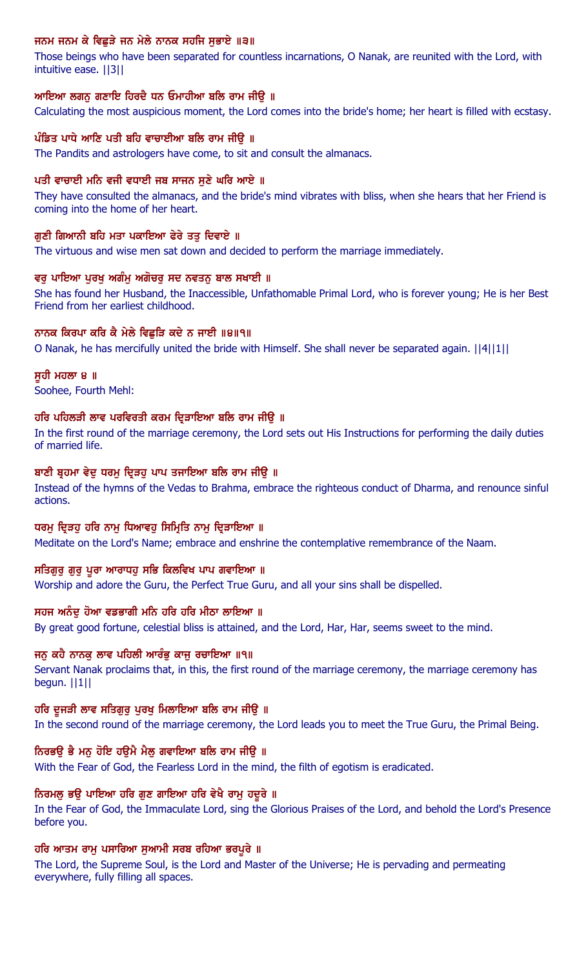# ਜਨਮ ਜਨਮ ਕੇ ਵਿਛੁੜੇ ਜਨ ਮੇਲੇ ਨਾਨਕ ਸਹਜਿ ਸੁਭਾਏ ॥੩॥

Those beings who have been separated for countless incarnations, O Nanak, are reunited with the Lord, with intuitive ease. ||3||

### ਆਇਆ ਲਗਨੂ ਗਣਾਇ ਹਿਰਦੈ ਧਨ ਓਮਾਹੀਆ ਬਲਿ ਰਾਮ ਜੀਉ ॥

Calculating the most auspicious moment, the Lord comes into the bride's home; her heart is filled with ecstasy.

### ਪੰਡਿਤ ਪਾਧੇ ਆਣਿ ਪਤੀ ਬਹਿ ਵਾਚਾਈਆ ਬਲਿ ਰਾਮ ਜੀਉ ॥

The Pandits and astrologers have come, to sit and consult the almanacs.

#### ਪਤੀ ਵਾਚਾਈ ਮਨਿ ਵਜੀ ਵਧਾਈ ਜਬ ਸਾਜਨ ਸਣੇ ਘਰਿ ਆਏ ॥

They have consulted the almanacs, and the bride's mind vibrates with bliss, when she hears that her Friend is coming into the home of her heart.

### ਗਣੀ ਗਿਆਨੀ ਬਹਿ ਮਤਾ ਪਕਾਇਆ ਫੇਰੇ ਤਤ ਦਿਵਾਏ ॥

The virtuous and wise men sat down and decided to perform the marriage immediately.

#### ਵਰੂ ਪਾਇਆ ਪੂਰਖੂ ਅਗੰਮੂ ਅਗੋਚਰੂ ਸਦ ਨਵਤਨੂ ਬਾਲ ਸਖਾਈ ॥

She has found her Husband, the Inaccessible, Unfathomable Primal Lord, who is forever young; He is her Best Friend from her earliest childhood.

#### ਨਾਨਕ ਕਿਰਪਾ ਕਰਿ ਕੈ ਮੇਲੇ ਵਿਛੜਿ ਕਦੇ ਨ ਜਾਈ ॥੪॥੧॥

O Nanak, he has mercifully united the bride with Himself. She shall never be separated again. ||4||1||

ਸਹੀ ਮਹਲਾ ੪ ॥ Soohee, Fourth Mehl:

### ਹਰਿ ਪਹਿਲੜੀ ਲਾਵ ਪਰਵਿਰਤੀ ਕਰਮ ਦ੍ਰਿੜਾਇਆ ਬਲਿ ਰਾਮ ਜੀਉ ॥

In the first round of the marriage ceremony, the Lord sets out His Instructions for performing the daily duties of married life.

#### ਬਾਣੀ ਬ੍ਰਹਮਾ ਵੇਦੂ ਧਰਮੂ ਦ੍ਰਿੜਹੂ ਪਾਪ ਤਜਾਇਆ ਬਲਿ ਰਾਮ ਜੀਉ ॥

Instead of the hymns of the Vedas to Brahma, embrace the righteous conduct of Dharma, and renounce sinful actions.

### ਧਰਮ ਦਿੜਹੁ ਹਰਿ ਨਾਮੂ ਧਿਆਵਹੁ ਸਿਮ੍ਹਿਤਿ ਨਾਮੂ ਦਿੜਾਇਆ ॥

Meditate on the Lord's Name; embrace and enshrine the contemplative remembrance of the Naam.

# ਸਤਿਗੁਰੁ ਗੁਰੁ ਪੁਰਾ ਆਰਾਧਹੁ ਸਭਿ ਕਿਲਵਿਖ ਪਾਪ ਗਵਾਇਆ ॥

Worship and adore the Guru, the Perfect True Guru, and all your sins shall be dispelled.

#### ਸਹਜ ਅਨੰਦੂ ਹੋਆ ਵਡਭਾਗੀ ਮਨਿ ਹਰਿ ਹਰਿ ਮੀਠਾ ਲਾਇਆ ॥

By great good fortune, celestial bliss is attained, and the Lord, Har, Har, seems sweet to the mind.

## ਜਨੂ ਕਹੈ ਨਾਨਕੂ ਲਾਵ ਪਹਿਲੀ ਆਰੰਭੂ ਕਾਜੂ ਰਚਾਇਆ ॥੧॥

Servant Nanak proclaims that, in this, the first round of the marriage ceremony, the marriage ceremony has begun. ||1||

#### ਹਰਿ ਦੁਜੜੀ ਲਾਵ ਸਤਿਗੁਰੂ ਪੁਰਖੂ ਮਿਲਾਇਆ ਬਲਿ ਰਾਮ ਜੀਉ ॥

In the second round of the marriage ceremony, the Lord leads you to meet the True Guru, the Primal Being.

#### ਨਿਰਭਉ ਭੈ ਮਨੁ ਹੋਇ ਹਉਮੈ ਮੈਲੁ ਗਵਾਇਆ ਬਲਿ ਰਾਮ ਜੀਉ ॥

With the Fear of God, the Fearless Lord in the mind, the filth of egotism is eradicated.

#### ਨਿਰਮਲ ਭੳ ਪਾਇਆ ਹਰਿ ਗਣ ਗਾਇਆ ਹਰਿ ਵੇਖੈ ਰਾਮ ਹਦੂਰੇ ॥

In the Fear of God, the Immaculate Lord, sing the Glorious Praises of the Lord, and behold the Lord's Presence before you.

#### ਹਰਿ ਆਤਮ ਰਾਮ ਪਸਾਰਿਆ ਸਆਮੀ ਸਰਬ ਰਹਿਆ ਭਰਪੂਰੇ ॥

The Lord, the Supreme Soul, is the Lord and Master of the Universe; He is pervading and permeating everywhere, fully filling all spaces.